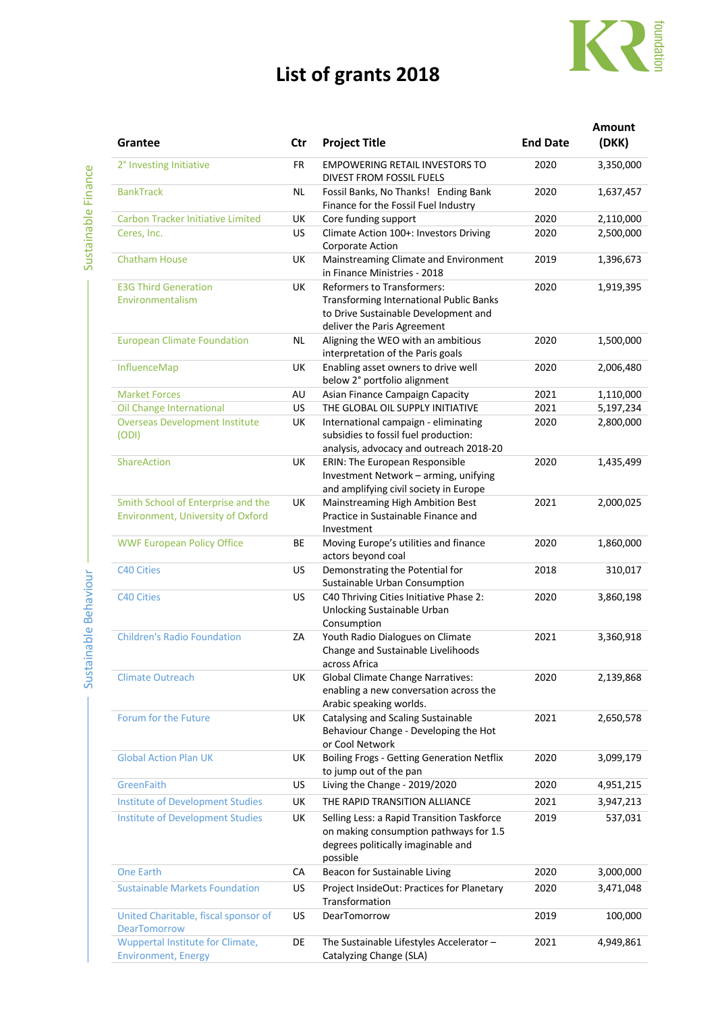## **List of grants 2018**



| Grantee                                                                 | Ctr       | <b>Project Title</b>                                                                                                                                       | <b>End Date</b> | <b>Amount</b><br>(DKK) |
|-------------------------------------------------------------------------|-----------|------------------------------------------------------------------------------------------------------------------------------------------------------------|-----------------|------------------------|
| 2° Investing Initiative                                                 | <b>FR</b> | <b>EMPOWERING RETAIL INVESTORS TO</b><br><b>DIVEST FROM FOSSIL FUELS</b>                                                                                   | 2020            | 3,350,000              |
| <b>BankTrack</b>                                                        | ΝL        | Fossil Banks, No Thanks! Ending Bank<br>Finance for the Fossil Fuel Industry                                                                               | 2020            | 1,637,457              |
| <b>Carbon Tracker Initiative Limited</b>                                | UK        | Core funding support                                                                                                                                       | 2020            | 2,110,000              |
| Ceres, Inc.                                                             | <b>US</b> | Climate Action 100+: Investors Driving<br>Corporate Action                                                                                                 | 2020            | 2,500,000              |
| <b>Chatham House</b>                                                    | UK        | Mainstreaming Climate and Environment<br>in Finance Ministries - 2018                                                                                      | 2019            | 1,396,673              |
| <b>E3G Third Generation</b><br>Environmentalism                         | UK        | <b>Reformers to Transformers:</b><br><b>Transforming International Public Banks</b><br>to Drive Sustainable Development and<br>deliver the Paris Agreement | 2020            | 1,919,395              |
| <b>European Climate Foundation</b>                                      | <b>NL</b> | Aligning the WEO with an ambitious<br>interpretation of the Paris goals                                                                                    | 2020            | 1,500,000              |
| InfluenceMap                                                            | UK        | Enabling asset owners to drive well<br>below 2° portfolio alignment                                                                                        | 2020            | 2,006,480              |
| <b>Market Forces</b>                                                    | AU        | Asian Finance Campaign Capacity                                                                                                                            | 2021            | 1,110,000              |
| Oil Change International                                                | <b>US</b> | THE GLOBAL OIL SUPPLY INITIATIVE                                                                                                                           | 2021            | 5,197,234              |
| <b>Overseas Development Institute</b><br>(ODI)                          | UK        | International campaign - eliminating<br>subsidies to fossil fuel production:<br>analysis, advocacy and outreach 2018-20                                    | 2020            | 2,800,000              |
| ShareAction                                                             | UK        | ERIN: The European Responsible<br>Investment Network - arming, unifying<br>and amplifying civil society in Europe                                          | 2020            | 1,435,499              |
| Smith School of Enterprise and the<br>Environment, University of Oxford | UK        | Mainstreaming High Ambition Best<br>Practice in Sustainable Finance and<br>Investment                                                                      | 2021            | 2,000,025              |
| <b>WWF European Policy Office</b>                                       | <b>BE</b> | Moving Europe's utilities and finance<br>actors beyond coal                                                                                                | 2020            | 1,860,000              |
| <b>C40 Cities</b>                                                       | US        | Demonstrating the Potential for<br>Sustainable Urban Consumption                                                                                           | 2018            | 310,017                |
| <b>C40 Cities</b>                                                       | US        | C40 Thriving Cities Initiative Phase 2:<br>Unlocking Sustainable Urban<br>Consumption                                                                      | 2020            | 3,860,198              |
| <b>Children's Radio Foundation</b>                                      | ZA        | Youth Radio Dialogues on Climate<br>Change and Sustainable Livelihoods<br>across Africa                                                                    | 2021            | 3,360,918              |
| <b>Climate Outreach</b>                                                 | UK        | <b>Global Climate Change Narratives:</b><br>enabling a new conversation across the<br>Arabic speaking worlds.                                              | 2020            | 2,139,868              |
| Forum for the Future                                                    | UK        | Catalysing and Scaling Sustainable<br>Behaviour Change - Developing the Hot<br>or Cool Network                                                             | 2021            | 2,650,578              |
| <b>Global Action Plan UK</b>                                            | UK        | <b>Boiling Frogs - Getting Generation Netflix</b><br>to jump out of the pan                                                                                | 2020            | 3,099,179              |
| GreenFaith                                                              | US        | Living the Change - 2019/2020                                                                                                                              | 2020            | 4,951,215              |
| <b>Institute of Development Studies</b>                                 | UK        | THE RAPID TRANSITION ALLIANCE                                                                                                                              | 2021            | 3,947,213              |
| <b>Institute of Development Studies</b>                                 | UK        | Selling Less: a Rapid Transition Taskforce<br>on making consumption pathways for 1.5<br>degrees politically imaginable and<br>possible                     | 2019            | 537,031                |
| <b>One Earth</b>                                                        | СA        | Beacon for Sustainable Living                                                                                                                              | 2020            | 3,000,000              |
| <b>Sustainable Markets Foundation</b>                                   | US        | Project InsideOut: Practices for Planetary<br>Transformation                                                                                               | 2020            | 3,471,048              |
| United Charitable, fiscal sponsor of<br><b>DearTomorrow</b>             | US        | DearTomorrow                                                                                                                                               | 2019            | 100,000                |
| Wuppertal Institute for Climate,<br><b>Environment, Energy</b>          | DE        | The Sustainable Lifestyles Accelerator -<br>Catalyzing Change (SLA)                                                                                        | 2021            | 4,949,861              |

Sustainable Behaviour Sustainable Behaviour